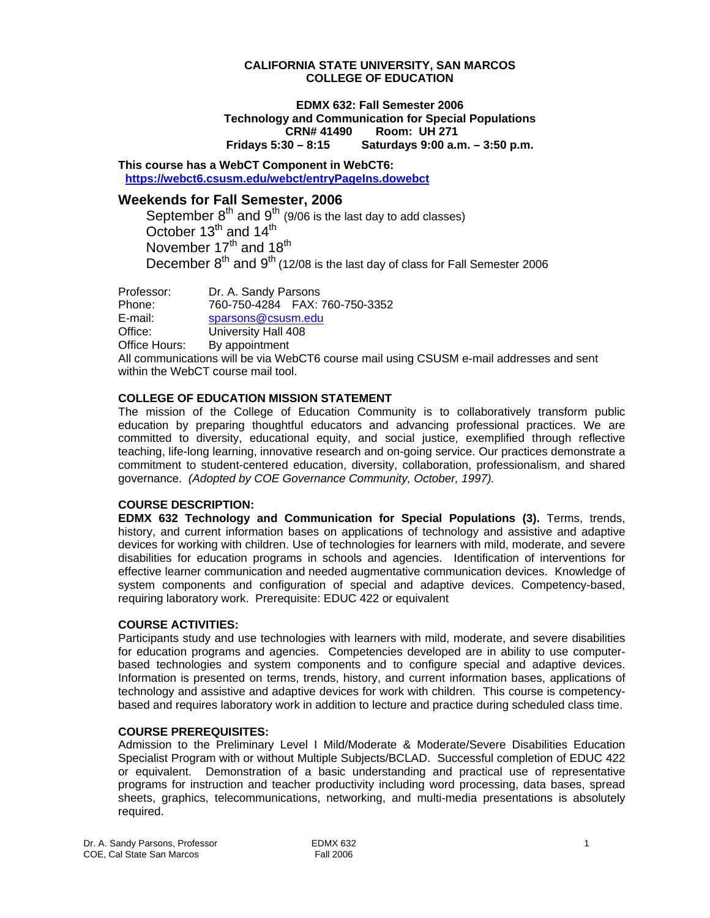#### **CALIFORNIA STATE UNIVERSITY, SAN MARCOS COLLEGE OF EDUCATION**

#### **EDMX 632: Fall Semester 2006 Technology and Communication for Special Populations CRN# 41490 Room: UH 271 Fridays 5:30 – 8:15 Saturdays 9:00 a.m. – 3:50 p.m.**

**This course has a WebCT Component in WebCT6: https://webct6.csusm.edu/webct/entryPageIns.dowebct** 

# **Weekends for Fall Semester, 2006**

September  $8<sup>th</sup>$  and  $9<sup>th</sup>$  (9/06 is the last day to add classes) October  $13^{th}$  and  $14^{th}$ November  $17<sup>th</sup>$  and  $18<sup>th</sup>$ December  $8^{th}$  and  $9^{th}$  (12/08 is the last day of class for Fall Semester 2006

Professor: Dr. A. Sandy Parsons Phone: 760-750-4284 FAX: 760-750-3352 E-mail: sparsons@csusm.edu Office: University Hall 408 Office Hours: By appointment

All communications will be via WebCT6 course mail using CSUSM e-mail addresses and sent within the WebCT course mail tool.

# **COLLEGE OF EDUCATION MISSION STATEMENT**

The mission of the College of Education Community is to collaboratively transform public education by preparing thoughtful educators and advancing professional practices. We are committed to diversity, educational equity, and social justice, exemplified through reflective teaching, life-long learning, innovative research and on-going service. Our practices demonstrate a commitment to student-centered education, diversity, collaboration, professionalism, and shared governance. *(Adopted by COE Governance Community, October, 1997).* 

#### **COURSE DESCRIPTION:**

**EDMX 632 Technology and Communication for Special Populations (3).** Terms, trends, history, and current information bases on applications of technology and assistive and adaptive devices for working with children. Use of technologies for learners with mild, moderate, and severe disabilities for education programs in schools and agencies. Identification of interventions for effective learner communication and needed augmentative communication devices. Knowledge of system components and configuration of special and adaptive devices. Competency-based, requiring laboratory work. Prerequisite: EDUC 422 or equivalent

#### **COURSE ACTIVITIES:**

Participants study and use technologies with learners with mild, moderate, and severe disabilities for education programs and agencies. Competencies developed are in ability to use computerbased technologies and system components and to configure special and adaptive devices. Information is presented on terms, trends, history, and current information bases, applications of technology and assistive and adaptive devices for work with children. This course is competencybased and requires laboratory work in addition to lecture and practice during scheduled class time.

#### **COURSE PREREQUISITES:**

Admission to the Preliminary Level I Mild/Moderate & Moderate/Severe Disabilities Education Specialist Program with or without Multiple Subjects/BCLAD. Successful completion of EDUC 422 or equivalent. Demonstration of a basic understanding and practical use of representative programs for instruction and teacher productivity including word processing, data bases, spread sheets, graphics, telecommunications, networking, and multi-media presentations is absolutely required.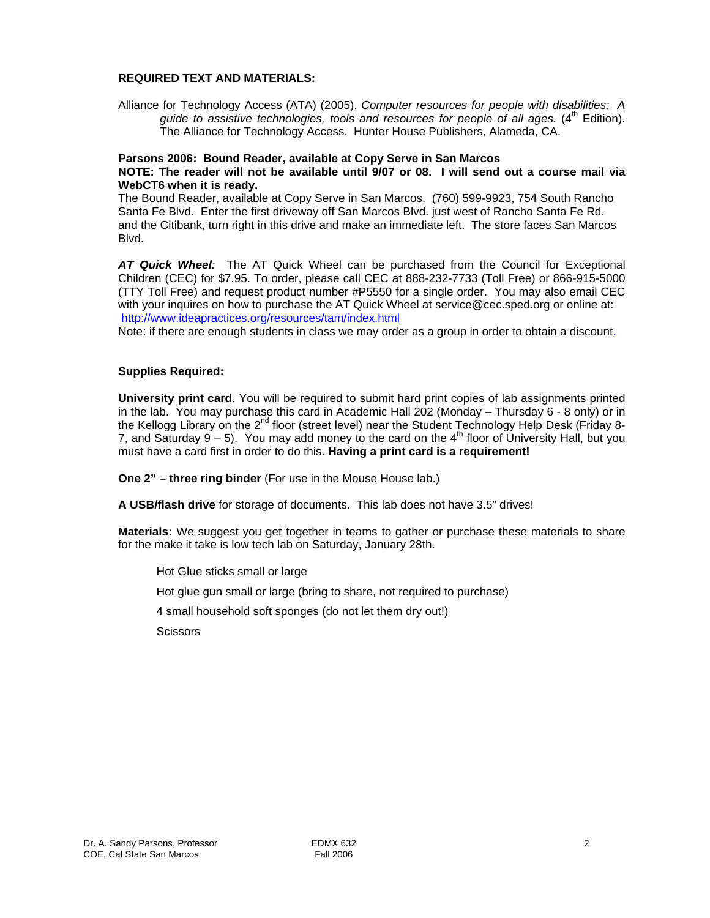### **REQUIRED TEXT AND MATERIALS:**

Alliance for Technology Access (ATA) (2005). *Computer resources for people with disabilities: A guide to assistive technologies, tools and resources for people of all ages.* (4<sup>th</sup> Edition). The Alliance for Technology Access. Hunter House Publishers, Alameda, CA.

# **Parsons 2006: Bound Reader, available at Copy Serve in San Marcos**

## **NOTE: The reader will not be available until 9/07 or 08. I will send out a course mail via WebCT6 when it is ready.**

The Bound Reader, available at Copy Serve in San Marcos. (760) 599-9923, 754 South Rancho Santa Fe Blvd. Enter the first driveway off San Marcos Blvd. just west of Rancho Santa Fe Rd. and the Citibank, turn right in this drive and make an immediate left. The store faces San Marcos Blvd.

*AT Quick Wheel:* The AT Quick Wheel can be purchased from the Council for Exceptional Children (CEC) for \$7.95. To order, please call CEC at 888-232-7733 (Toll Free) or 866-915-5000 (TTY Toll Free) and request product number #P5550 for a single order. You may also email CEC with your inquires on how to purchase the AT Quick Wheel at service@cec.sped.org or online at: http://www.ideapractices.org/resources/tam/index.html

Note: if there are enough students in class we may order as a group in order to obtain a discount.

#### **Supplies Required:**

**University print card**. You will be required to submit hard print copies of lab assignments printed in the lab. You may purchase this card in Academic Hall 202 (Monday – Thursday 6 - 8 only) or in the Kellogg Library on the  $2^{nd}$  floor (street level) near the Student Technology Help Desk (Friday 8-7, and Saturday  $9 - 5$ ). You may add money to the card on the 4<sup>th</sup> floor of University Hall, but you must have a card first in order to do this. **Having a print card is a requirement!**

**One 2" – three ring binder** (For use in the Mouse House lab.)

**A USB/flash drive** for storage of documents. This lab does not have 3.5" drives!

**Materials:** We suggest you get together in teams to gather or purchase these materials to share for the make it take is low tech lab on Saturday, January 28th.

Hot Glue sticks small or large

Hot glue gun small or large (bring to share, not required to purchase)

4 small household soft sponges (do not let them dry out!)

**Scissors**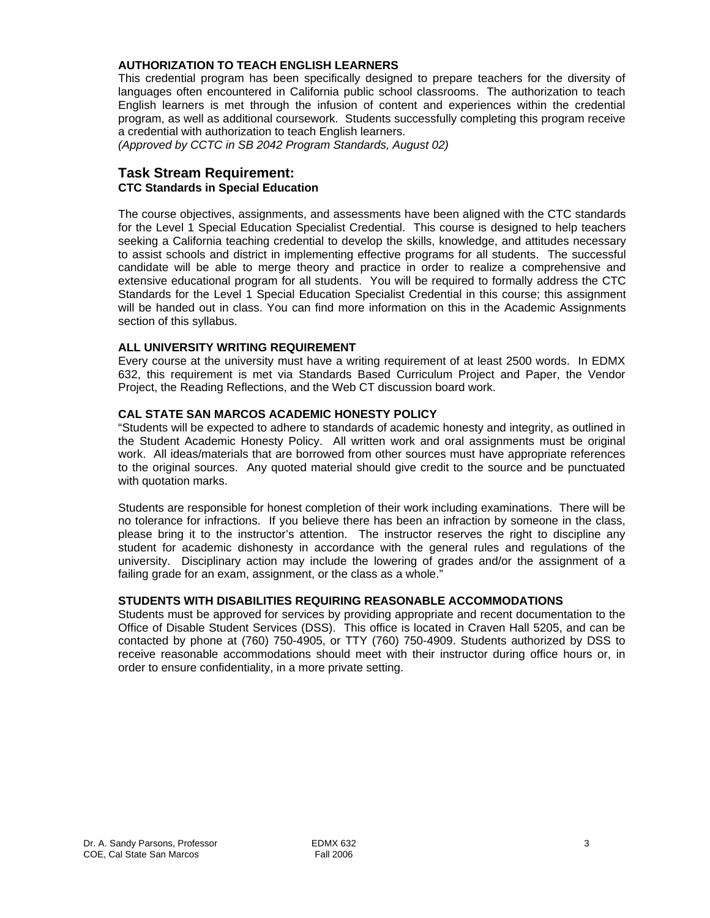# **AUTHORIZATION TO TEACH ENGLISH LEARNERS**

This credential program has been specifically designed to prepare teachers for the diversity of languages often encountered in California public school classrooms. The authorization to teach English learners is met through the infusion of content and experiences within the credential program, as well as additional coursework. Students successfully completing this program receive a credential with authorization to teach English learners.

*(Approved by CCTC in SB 2042 Program Standards, August 02)*

# **Task Stream Requirement:**

# **CTC Standards in Special Education**

The course objectives, assignments, and assessments have been aligned with the CTC standards for the Level 1 Special Education Specialist Credential. This course is designed to help teachers seeking a California teaching credential to develop the skills, knowledge, and attitudes necessary to assist schools and district in implementing effective programs for all students. The successful candidate will be able to merge theory and practice in order to realize a comprehensive and extensive educational program for all students. You will be required to formally address the CTC Standards for the Level 1 Special Education Specialist Credential in this course; this assignment will be handed out in class. You can find more information on this in the Academic Assignments section of this syllabus.

## **ALL UNIVERSITY WRITING REQUIREMENT**

Every course at the university must have a writing requirement of at least 2500 words. In EDMX 632, this requirement is met via Standards Based Curriculum Project and Paper, the Vendor Project, the Reading Reflections, and the Web CT discussion board work.

# **CAL STATE SAN MARCOS ACADEMIC HONESTY POLICY**

"Students will be expected to adhere to standards of academic honesty and integrity, as outlined in the Student Academic Honesty Policy. All written work and oral assignments must be original work. All ideas/materials that are borrowed from other sources must have appropriate references to the original sources. Any quoted material should give credit to the source and be punctuated with quotation marks.

Students are responsible for honest completion of their work including examinations. There will be no tolerance for infractions. If you believe there has been an infraction by someone in the class, please bring it to the instructor's attention. The instructor reserves the right to discipline any student for academic dishonesty in accordance with the general rules and regulations of the university. Disciplinary action may include the lowering of grades and/or the assignment of a failing grade for an exam, assignment, or the class as a whole."

#### **STUDENTS WITH DISABILITIES REQUIRING REASONABLE ACCOMMODATIONS**

Students must be approved for services by providing appropriate and recent documentation to the Office of Disable Student Services (DSS). This office is located in Craven Hall 5205, and can be contacted by phone at (760) 750-4905, or TTY (760) 750-4909. Students authorized by DSS to receive reasonable accommodations should meet with their instructor during office hours or, in order to ensure confidentiality, in a more private setting.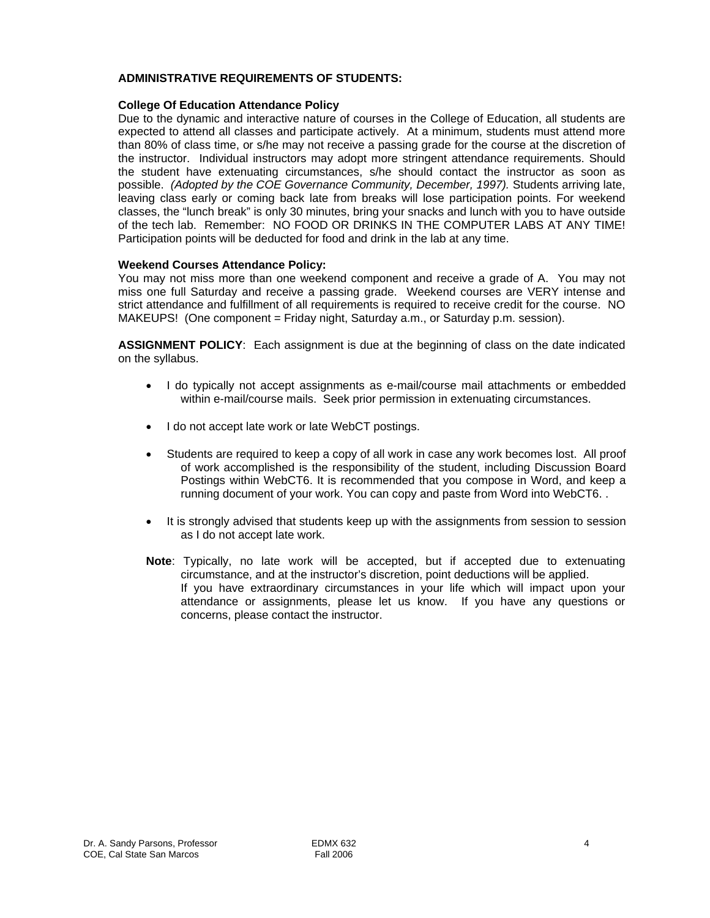## **ADMINISTRATIVE REQUIREMENTS OF STUDENTS:**

#### **College Of Education Attendance Policy**

Due to the dynamic and interactive nature of courses in the College of Education, all students are expected to attend all classes and participate actively. At a minimum, students must attend more than 80% of class time, or s/he may not receive a passing grade for the course at the discretion of the instructor. Individual instructors may adopt more stringent attendance requirements. Should the student have extenuating circumstances, s/he should contact the instructor as soon as possible. *(Adopted by the COE Governance Community, December, 1997).* Students arriving late, leaving class early or coming back late from breaks will lose participation points. For weekend classes, the "lunch break" is only 30 minutes, bring your snacks and lunch with you to have outside of the tech lab. Remember: NO FOOD OR DRINKS IN THE COMPUTER LABS AT ANY TIME! Participation points will be deducted for food and drink in the lab at any time.

#### **Weekend Courses Attendance Policy:**

You may not miss more than one weekend component and receive a grade of A. You may not miss one full Saturday and receive a passing grade. Weekend courses are VERY intense and strict attendance and fulfillment of all requirements is required to receive credit for the course. NO MAKEUPS! (One component = Friday night, Saturday a.m., or Saturday p.m. session).

**ASSIGNMENT POLICY**: Each assignment is due at the beginning of class on the date indicated on the syllabus.

- I do typically not accept assignments as e-mail/course mail attachments or embedded within e-mail/course mails. Seek prior permission in extenuating circumstances.
- I do not accept late work or late WebCT postings.
- Students are required to keep a copy of all work in case any work becomes lost. All proof of work accomplished is the responsibility of the student, including Discussion Board Postings within WebCT6. It is recommended that you compose in Word, and keep a running document of your work. You can copy and paste from Word into WebCT6. .
- It is strongly advised that students keep up with the assignments from session to session as I do not accept late work.
- **Note**: Typically, no late work will be accepted, but if accepted due to extenuating circumstance, and at the instructor's discretion, point deductions will be applied. If you have extraordinary circumstances in your life which will impact upon your attendance or assignments, please let us know. If you have any questions or concerns, please contact the instructor.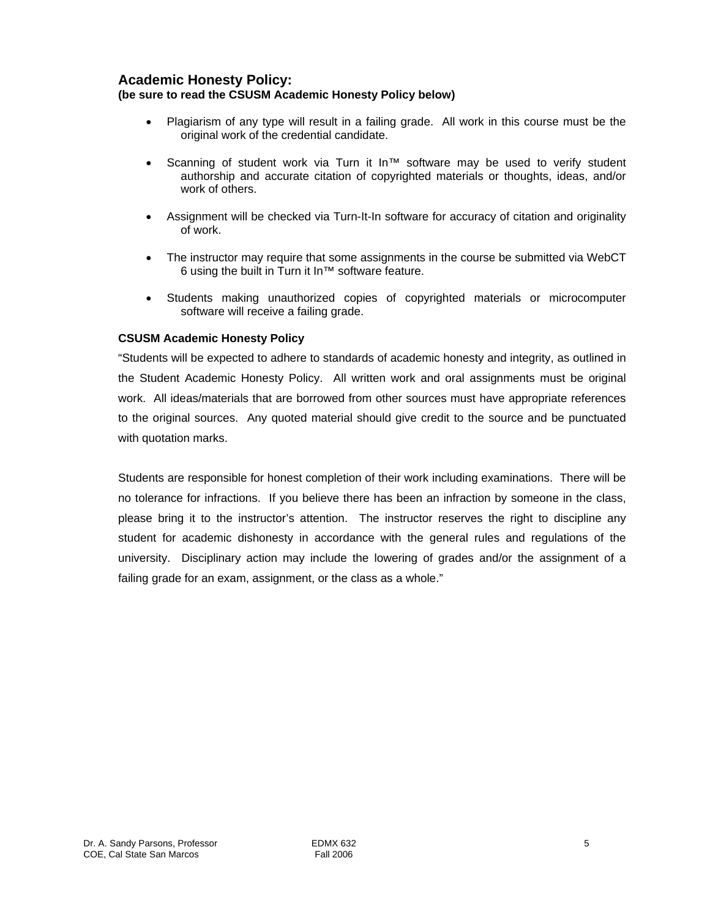# **Academic Honesty Policy:**

# **(be sure to read the CSUSM Academic Honesty Policy below)**

- Plagiarism of any type will result in a failing grade. All work in this course must be the original work of the credential candidate.
- Scanning of student work via Turn it In™ software may be used to verify student authorship and accurate citation of copyrighted materials or thoughts, ideas, and/or work of others.
- Assignment will be checked via Turn-It-In software for accuracy of citation and originality of work.
- The instructor may require that some assignments in the course be submitted via WebCT 6 using the built in Turn it In™ software feature.
- Students making unauthorized copies of copyrighted materials or microcomputer software will receive a failing grade.

# **CSUSM Academic Honesty Policy**

"Students will be expected to adhere to standards of academic honesty and integrity, as outlined in the Student Academic Honesty Policy. All written work and oral assignments must be original work. All ideas/materials that are borrowed from other sources must have appropriate references to the original sources. Any quoted material should give credit to the source and be punctuated with quotation marks.

Students are responsible for honest completion of their work including examinations. There will be no tolerance for infractions. If you believe there has been an infraction by someone in the class, please bring it to the instructor's attention. The instructor reserves the right to discipline any student for academic dishonesty in accordance with the general rules and regulations of the university. Disciplinary action may include the lowering of grades and/or the assignment of a failing grade for an exam, assignment, or the class as a whole."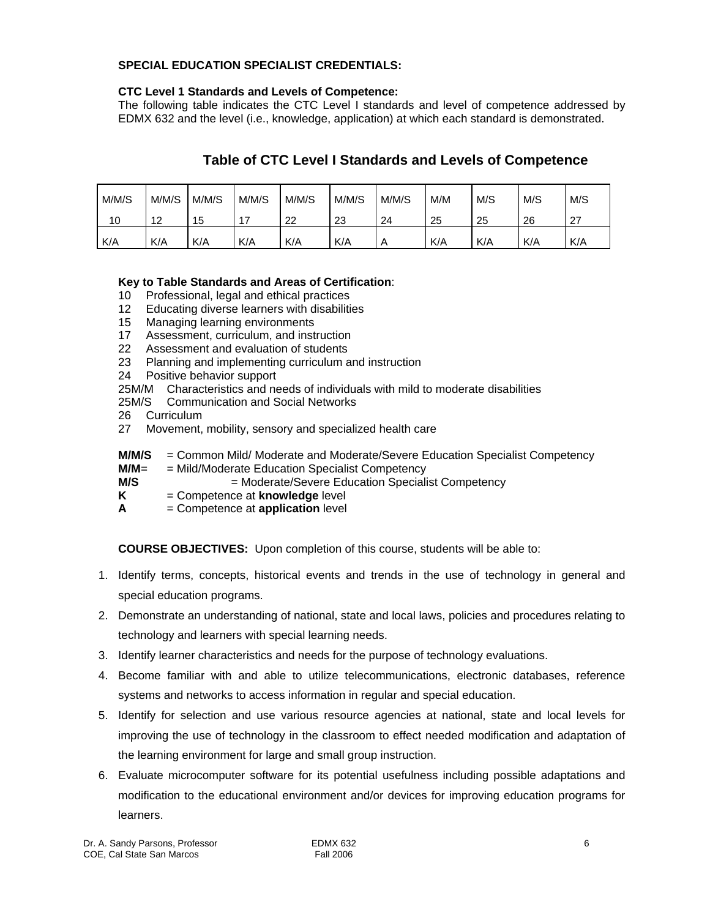# **SPECIAL EDUCATION SPECIALIST CREDENTIALS:**

# **CTC Level 1 Standards and Levels of Competence:**

The following table indicates the CTC Level I standards and level of competence addressed by EDMX 632 and the level (i.e., knowledge, application) at which each standard is demonstrated.

# **Table of CTC Level I Standards and Levels of Competence**

| M/M/S | M/M/S     | M/M/S | M/M/S | M/M/S | M/M/S | M/M/S | M/M | M/S | M/S | M/S              |
|-------|-----------|-------|-------|-------|-------|-------|-----|-----|-----|------------------|
| 10    | 10<br>ے ا | 15    |       | 22    | 23    | 24    | 25  | 25  | 26  | - 27<br><u>z</u> |
| K/A   | K/A       | K/A   | K/A   | K/A   | K/A   | A     | K/A | K/A | K/A | K/A              |

# **Key to Table Standards and Areas of Certification**:

- 10 Professional, legal and ethical practices
- 12 Educating diverse learners with disabilities
- 15 Managing learning environments
- 17 Assessment, curriculum, and instruction
- 22 Assessment and evaluation of students
- 23 Planning and implementing curriculum and instruction
- 24 Positive behavior support
- 25M/M Characteristics and needs of individuals with mild to moderate disabilities
- 25M/S Communication and Social Networks
- 26 Curriculum
- 27 Movement, mobility, sensory and specialized health care
- **M/M/S** = Common Mild/ Moderate and Moderate/Severe Education Specialist Competency
- **M/M**= = Mild/Moderate Education Specialist Competency
- **M/S**  $=$  Moderate/Severe Education Specialist Competency
- **K** = Competence at **knowledge** level
- **A** = Competence at **application** level

**COURSE OBJECTIVES:** Upon completion of this course, students will be able to:

- 1. Identify terms, concepts, historical events and trends in the use of technology in general and special education programs.
- 2. Demonstrate an understanding of national, state and local laws, policies and procedures relating to technology and learners with special learning needs.
- 3. Identify learner characteristics and needs for the purpose of technology evaluations.
- 4. Become familiar with and able to utilize telecommunications, electronic databases, reference systems and networks to access information in regular and special education.
- 5. Identify for selection and use various resource agencies at national, state and local levels for improving the use of technology in the classroom to effect needed modification and adaptation of the learning environment for large and small group instruction.
- 6. Evaluate microcomputer software for its potential usefulness including possible adaptations and modification to the educational environment and/or devices for improving education programs for learners.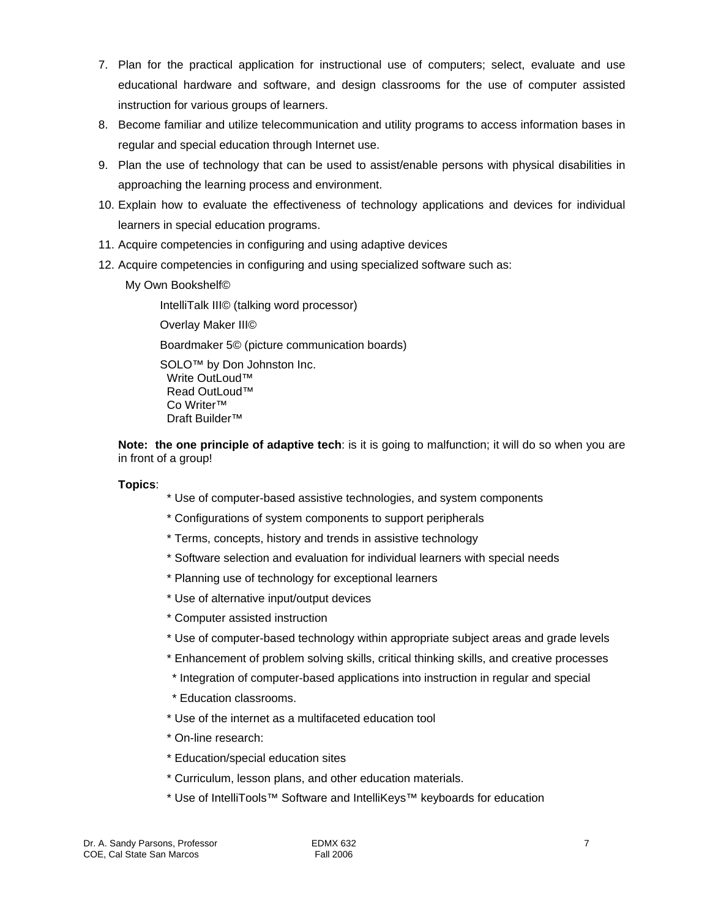- 7. Plan for the practical application for instructional use of computers; select, evaluate and use educational hardware and software, and design classrooms for the use of computer assisted instruction for various groups of learners.
- 8. Become familiar and utilize telecommunication and utility programs to access information bases in regular and special education through Internet use.
- 9. Plan the use of technology that can be used to assist/enable persons with physical disabilities in approaching the learning process and environment.
- 10. Explain how to evaluate the effectiveness of technology applications and devices for individual learners in special education programs.
- 11. Acquire competencies in configuring and using adaptive devices
- 12. Acquire competencies in configuring and using specialized software such as:
	- My Own Bookshelf©

IntelliTalk III© (talking word processor) Overlay Maker III© Boardmaker 5© (picture communication boards) SOLO™ by Don Johnston Inc. Write OutLoud™ Read OutLoud™ Co Writer™ Draft Builder™

**Note: the one principle of adaptive tech**: is it is going to malfunction; it will do so when you are in front of a group!

# **Topics**:

- \* Use of computer-based assistive technologies, and system components
- \* Configurations of system components to support peripherals
- \* Terms, concepts, history and trends in assistive technology
- \* Software selection and evaluation for individual learners with special needs
- \* Planning use of technology for exceptional learners
- \* Use of alternative input/output devices
- \* Computer assisted instruction
- \* Use of computer-based technology within appropriate subject areas and grade levels
- \* Enhancement of problem solving skills, critical thinking skills, and creative processes
- \* Integration of computer-based applications into instruction in regular and special
- \* Education classrooms.
- \* Use of the internet as a multifaceted education tool
- \* On-line research:
- \* Education/special education sites
- \* Curriculum, lesson plans, and other education materials.
- \* Use of IntelliTools™ Software and IntelliKeys™ keyboards for education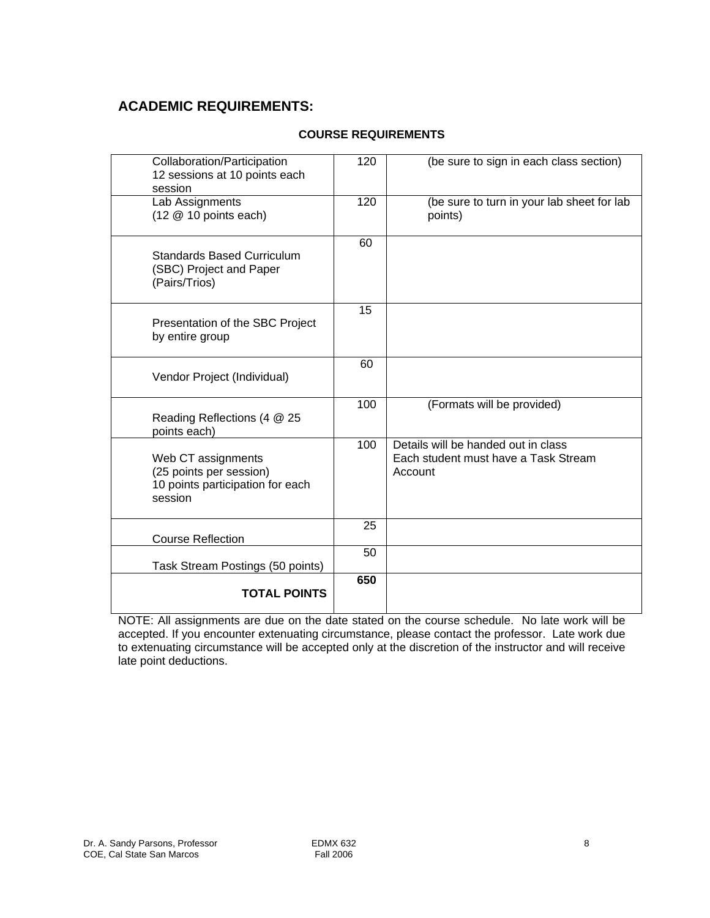# **ACADEMIC REQUIREMENTS:**

# **COURSE REQUIREMENTS**

| Collaboration/Participation<br>12 sessions at 10 points each<br>session                      | 120 | (be sure to sign in each class section)                                                |
|----------------------------------------------------------------------------------------------|-----|----------------------------------------------------------------------------------------|
| Lab Assignments<br>$(12 \t@ 10$ points each)                                                 | 120 | (be sure to turn in your lab sheet for lab<br>points)                                  |
| <b>Standards Based Curriculum</b><br>(SBC) Project and Paper<br>(Pairs/Trios)                | 60  |                                                                                        |
| Presentation of the SBC Project<br>by entire group                                           | 15  |                                                                                        |
| Vendor Project (Individual)                                                                  | 60  |                                                                                        |
| Reading Reflections (4 @ 25<br>points each)                                                  | 100 | (Formats will be provided)                                                             |
| Web CT assignments<br>(25 points per session)<br>10 points participation for each<br>session | 100 | Details will be handed out in class<br>Each student must have a Task Stream<br>Account |
| <b>Course Reflection</b>                                                                     | 25  |                                                                                        |
| Task Stream Postings (50 points)                                                             | 50  |                                                                                        |
| <b>TOTAL POINTS</b>                                                                          | 650 |                                                                                        |

NOTE: All assignments are due on the date stated on the course schedule. No late work will be accepted. If you encounter extenuating circumstance, please contact the professor. Late work due to extenuating circumstance will be accepted only at the discretion of the instructor and will receive late point deductions.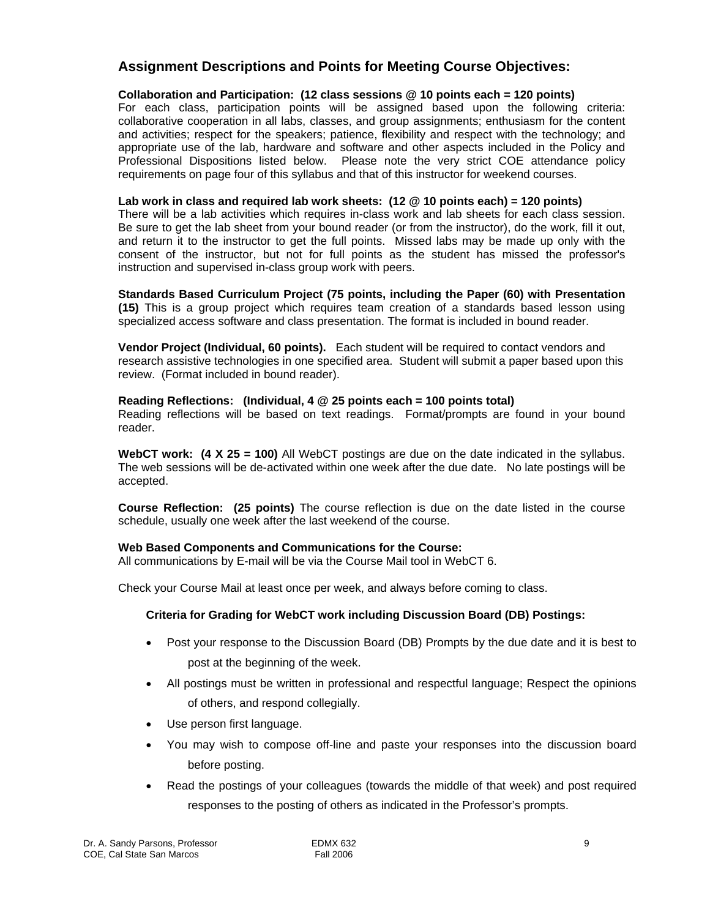# **Assignment Descriptions and Points for Meeting Course Objectives:**

## **Collaboration and Participation: (12 class sessions @ 10 points each = 120 points)**

For each class, participation points will be assigned based upon the following criteria: collaborative cooperation in all labs, classes, and group assignments; enthusiasm for the content and activities; respect for the speakers; patience, flexibility and respect with the technology; and appropriate use of the lab, hardware and software and other aspects included in the Policy and Professional Dispositions listed below. Please note the very strict COE attendance policy requirements on page four of this syllabus and that of this instructor for weekend courses.

### **Lab work in class and required lab work sheets: (12 @ 10 points each) = 120 points)**

There will be a lab activities which requires in-class work and lab sheets for each class session. Be sure to get the lab sheet from your bound reader (or from the instructor), do the work, fill it out, and return it to the instructor to get the full points. Missed labs may be made up only with the consent of the instructor, but not for full points as the student has missed the professor's instruction and supervised in-class group work with peers.

**Standards Based Curriculum Project (75 points, including the Paper (60) with Presentation (15)** This is a group project which requires team creation of a standards based lesson using specialized access software and class presentation. The format is included in bound reader.

**Vendor Project (Individual, 60 points).** Each student will be required to contact vendors and research assistive technologies in one specified area. Student will submit a paper based upon this review. (Format included in bound reader).

## **Reading Reflections: (Individual, 4 @ 25 points each = 100 points total)**

Reading reflections will be based on text readings. Format/prompts are found in your bound reader.

**WebCT work: (4 X 25 = 100)** All WebCT postings are due on the date indicated in the syllabus. The web sessions will be de-activated within one week after the due date. No late postings will be accepted.

**Course Reflection: (25 points)** The course reflection is due on the date listed in the course schedule, usually one week after the last weekend of the course.

#### **Web Based Components and Communications for the Course:**

All communications by E-mail will be via the Course Mail tool in WebCT 6.

Check your Course Mail at least once per week, and always before coming to class.

# **Criteria for Grading for WebCT work including Discussion Board (DB) Postings:**

- Post your response to the Discussion Board (DB) Prompts by the due date and it is best to post at the beginning of the week.
- All postings must be written in professional and respectful language; Respect the opinions of others, and respond collegially.
- Use person first language.
- You may wish to compose off-line and paste your responses into the discussion board before posting.
- Read the postings of your colleagues (towards the middle of that week) and post required responses to the posting of others as indicated in the Professor's prompts.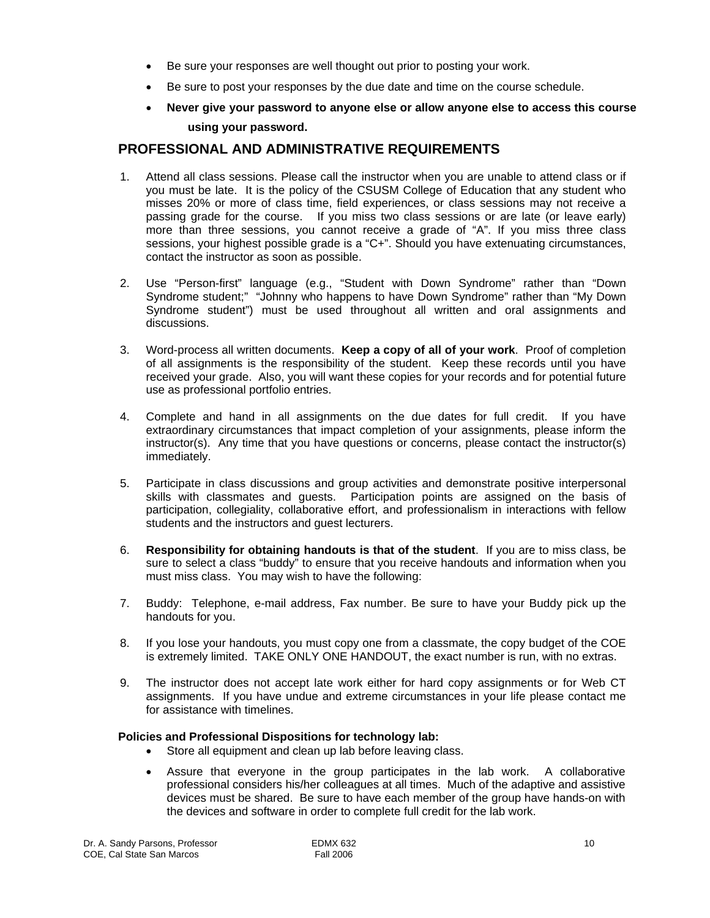- Be sure your responses are well thought out prior to posting your work.
- Be sure to post your responses by the due date and time on the course schedule.
- **Never give your password to anyone else or allow anyone else to access this course using your password.**

# **PROFESSIONAL AND ADMINISTRATIVE REQUIREMENTS**

- 1. Attend all class sessions. Please call the instructor when you are unable to attend class or if you must be late. It is the policy of the CSUSM College of Education that any student who misses 20% or more of class time, field experiences, or class sessions may not receive a passing grade for the course. If you miss two class sessions or are late (or leave early) more than three sessions, you cannot receive a grade of "A". If you miss three class sessions, your highest possible grade is a "C+". Should you have extenuating circumstances, contact the instructor as soon as possible.
- 2. Use "Person-first" language (e.g., "Student with Down Syndrome" rather than "Down Syndrome student;" "Johnny who happens to have Down Syndrome" rather than "My Down Syndrome student") must be used throughout all written and oral assignments and discussions.
- 3. Word-process all written documents. **Keep a copy of all of your work**. Proof of completion of all assignments is the responsibility of the student. Keep these records until you have received your grade. Also, you will want these copies for your records and for potential future use as professional portfolio entries.
- 4. Complete and hand in all assignments on the due dates for full credit. If you have extraordinary circumstances that impact completion of your assignments, please inform the instructor(s). Any time that you have questions or concerns, please contact the instructor(s) immediately.
- 5. Participate in class discussions and group activities and demonstrate positive interpersonal skills with classmates and guests. Participation points are assigned on the basis of participation, collegiality, collaborative effort, and professionalism in interactions with fellow students and the instructors and guest lecturers.
- 6. **Responsibility for obtaining handouts is that of the student**. If you are to miss class, be sure to select a class "buddy" to ensure that you receive handouts and information when you must miss class. You may wish to have the following:
- 7. Buddy: Telephone, e-mail address, Fax number. Be sure to have your Buddy pick up the handouts for you.
- 8. If you lose your handouts, you must copy one from a classmate, the copy budget of the COE is extremely limited. TAKE ONLY ONE HANDOUT, the exact number is run, with no extras.
- 9. The instructor does not accept late work either for hard copy assignments or for Web CT assignments. If you have undue and extreme circumstances in your life please contact me for assistance with timelines.

#### **Policies and Professional Dispositions for technology lab:**

- Store all equipment and clean up lab before leaving class.
- Assure that everyone in the group participates in the lab work. A collaborative professional considers his/her colleagues at all times. Much of the adaptive and assistive devices must be shared. Be sure to have each member of the group have hands-on with the devices and software in order to complete full credit for the lab work.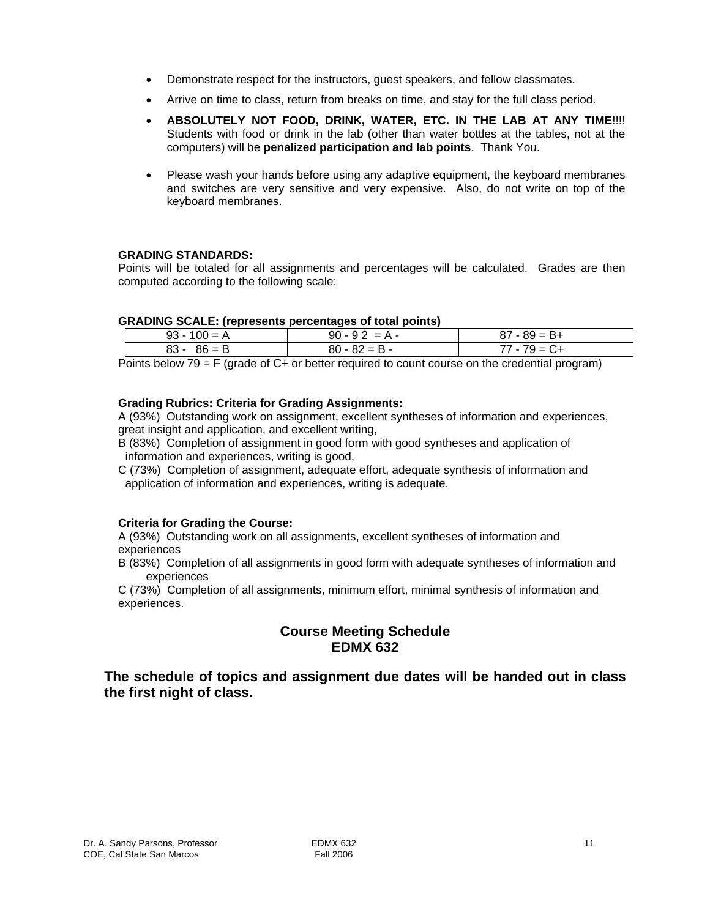- Demonstrate respect for the instructors, guest speakers, and fellow classmates.
- Arrive on time to class, return from breaks on time, and stay for the full class period.
- **ABSOLUTELY NOT FOOD, DRINK, WATER, ETC. IN THE LAB AT ANY TIME**!!!! Students with food or drink in the lab (other than water bottles at the tables, not at the computers) will be **penalized participation and lab points**. Thank You.
- Please wash your hands before using any adaptive equipment, the keyboard membranes and switches are very sensitive and very expensive. Also, do not write on top of the keyboard membranes.

## **GRADING STANDARDS:**

Points will be totaled for all assignments and percentages will be calculated. Grades are then computed according to the following scale:

#### **GRADING SCALE: (represents percentages of total points)**

| -------------------- | ---------------- |                 |
|----------------------|------------------|-----------------|
| $93 - 100 = A$       | $90 - 92 = A -$  | $87 - 89 = B +$ |
| $83 - 86 = B$        | $80 - 82 = B -$  | 77 - 79 = C+    |

Points below 79 = F (grade of C+ or better required to count course on the credential program)

#### **Grading Rubrics: Criteria for Grading Assignments:**

A (93%) Outstanding work on assignment, excellent syntheses of information and experiences, great insight and application, and excellent writing,

- B (83%) Completion of assignment in good form with good syntheses and application of information and experiences, writing is good,
- C (73%) Completion of assignment, adequate effort, adequate synthesis of information and application of information and experiences, writing is adequate.

#### **Criteria for Grading the Course:**

A (93%) Outstanding work on all assignments, excellent syntheses of information and experiences

B (83%) Completion of all assignments in good form with adequate syntheses of information and experiences

C (73%) Completion of all assignments, minimum effort, minimal synthesis of information and experiences.

# **Course Meeting Schedule EDMX 632**

**The schedule of topics and assignment due dates will be handed out in class the first night of class.**